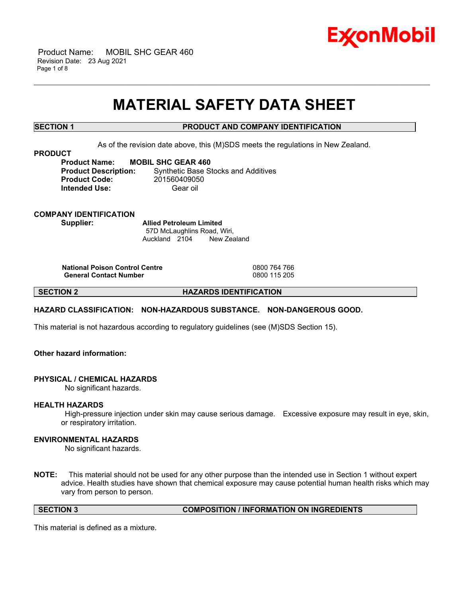

 Product Name: MOBIL SHC GEAR 460 Revision Date: 23 Aug 2021 Page 1 of 8

# **MATERIAL SAFETY DATA SHEET**

\_\_\_\_\_\_\_\_\_\_\_\_\_\_\_\_\_\_\_\_\_\_\_\_\_\_\_\_\_\_\_\_\_\_\_\_\_\_\_\_\_\_\_\_\_\_\_\_\_\_\_\_\_\_\_\_\_\_\_\_\_\_\_\_\_\_\_\_\_\_\_\_\_\_\_\_\_\_\_\_\_\_\_\_\_\_\_\_\_\_\_\_\_\_\_\_\_\_\_\_\_\_\_\_\_\_\_\_\_\_\_\_\_\_\_\_\_\_

# **SECTION 1 PRODUCT AND COMPANY IDENTIFICATION**

As of the revision date above, this (M)SDS meets the regulations in New Zealand.

#### **PRODUCT**

**Product Name: MOBIL SHC GEAR 460 Product Description:** Synthetic Base Stocks and Additives **Product Code:** 201560409050 **Intended Use:** Gear oil

**COMPANY IDENTIFICATION**

**Supplier: Allied Petroleum Limited** 57D McLaughlins Road, Wiri, Auckland 2104 New Zealand

**National Poison Control Centre** 0800 764 766 **General Contact Number** 

**SECTION 2 HAZARDS IDENTIFICATION**

# **HAZARD CLASSIFICATION: NON-HAZARDOUS SUBSTANCE. NON-DANGEROUS GOOD.**

This material is not hazardous according to regulatory guidelines (see (M)SDS Section 15).

# **Other hazard information:**

# **PHYSICAL / CHEMICAL HAZARDS**

No significant hazards.

# **HEALTH HAZARDS**

High-pressure injection under skin may cause serious damage. Excessive exposure may result in eye, skin, or respiratory irritation.

# **ENVIRONMENTAL HAZARDS**

No significant hazards.

**NOTE:** This material should not be used for any other purpose than the intended use in Section 1 without expert advice. Health studies have shown that chemical exposure may cause potential human health risks which may vary from person to person.

**SECTION 3 COMPOSITION / INFORMATION ON INGREDIENTS**

This material is defined as a mixture.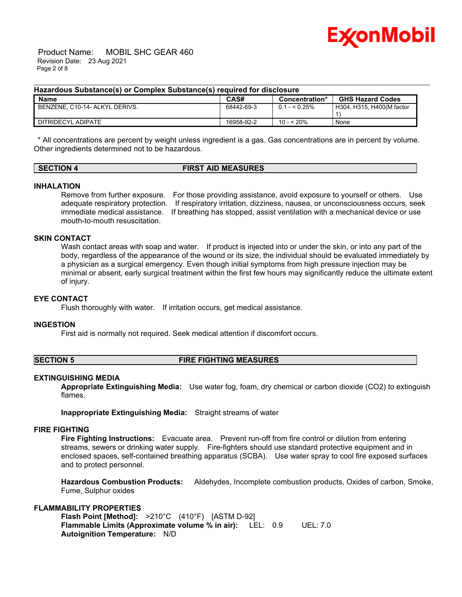

 Product Name: MOBIL SHC GEAR 460 Revision Date: 23 Aug 2021 Page 2 of 8

### **Hazardous Substance(s) or Complex Substance(s) required for disclosure**

| Name                           | CAS#       | Concentration* | <b>GHS Hazard Codes</b>   |
|--------------------------------|------------|----------------|---------------------------|
| BENZENE. C10-14- ALKYL DERIVS. | 68442-69-3 | $0.1 - 5.25\%$ | H304, H315, H400(M factor |
|                                |            |                |                           |
| DITRIDECYL ADIPATE             | 16958-92-2 | 10 - < 20%     | None                      |

\_\_\_\_\_\_\_\_\_\_\_\_\_\_\_\_\_\_\_\_\_\_\_\_\_\_\_\_\_\_\_\_\_\_\_\_\_\_\_\_\_\_\_\_\_\_\_\_\_\_\_\_\_\_\_\_\_\_\_\_\_\_\_\_\_\_\_\_\_\_\_\_\_\_\_\_\_\_\_\_\_\_\_\_\_\_\_\_\_\_\_\_\_\_\_\_\_\_\_\_\_\_\_\_\_\_\_\_\_\_\_\_\_\_\_\_\_\_

\* All concentrations are percent by weight unless ingredient is a gas. Gas concentrations are in percent by volume. Other ingredients determined not to be hazardous.

### **SECTION 4 FIRST AID MEASURES**

# **INHALATION**

Remove from further exposure. For those providing assistance, avoid exposure to yourself or others. Use adequate respiratory protection. If respiratory irritation, dizziness, nausea, or unconsciousness occurs, seek immediate medical assistance. If breathing has stopped, assist ventilation with a mechanical device or use mouth-to-mouth resuscitation.

# **SKIN CONTACT**

Wash contact areas with soap and water. If product is injected into or under the skin, or into any part of the body, regardless of the appearance of the wound or its size, the individual should be evaluated immediately by a physician as a surgical emergency. Even though initial symptoms from high pressure injection may be minimal or absent, early surgical treatment within the first few hours may significantly reduce the ultimate extent of injury.

#### **EYE CONTACT**

Flush thoroughly with water. If irritation occurs, get medical assistance.

#### **INGESTION**

First aid is normally not required. Seek medical attention if discomfort occurs.

# **SECTION 5 FIRE FIGHTING MEASURES**

# **EXTINGUISHING MEDIA**

**Appropriate Extinguishing Media:** Use water fog, foam, dry chemical or carbon dioxide (CO2) to extinguish flames.

**Inappropriate Extinguishing Media:** Straight streams of water

#### **FIRE FIGHTING**

**Fire Fighting Instructions:** Evacuate area. Prevent run-off from fire control or dilution from entering streams, sewers or drinking water supply. Fire-fighters should use standard protective equipment and in enclosed spaces, self-contained breathing apparatus (SCBA). Use water spray to cool fire exposed surfaces and to protect personnel.

**Hazardous Combustion Products:** Aldehydes, Incomplete combustion products, Oxides of carbon, Smoke, Fume, Sulphur oxides

# **FLAMMABILITY PROPERTIES**

**Flash Point [Method]:** >210°C (410°F) [ASTM D-92] **Flammable Limits (Approximate volume % in air):** LEL: 0.9 UEL: 7.0 **Autoignition Temperature:** N/D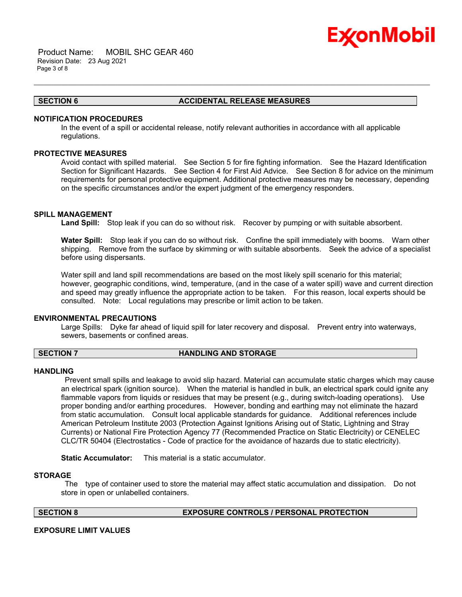

 Product Name: MOBIL SHC GEAR 460 Revision Date: 23 Aug 2021 Page 3 of 8

# **SECTION 6 ACCIDENTAL RELEASE MEASURES**

## **NOTIFICATION PROCEDURES**

In the event of a spill or accidental release, notify relevant authorities in accordance with all applicable regulations.

\_\_\_\_\_\_\_\_\_\_\_\_\_\_\_\_\_\_\_\_\_\_\_\_\_\_\_\_\_\_\_\_\_\_\_\_\_\_\_\_\_\_\_\_\_\_\_\_\_\_\_\_\_\_\_\_\_\_\_\_\_\_\_\_\_\_\_\_\_\_\_\_\_\_\_\_\_\_\_\_\_\_\_\_\_\_\_\_\_\_\_\_\_\_\_\_\_\_\_\_\_\_\_\_\_\_\_\_\_\_\_\_\_\_\_\_\_\_

# **PROTECTIVE MEASURES**

Avoid contact with spilled material. See Section 5 for fire fighting information. See the Hazard Identification Section for Significant Hazards. See Section 4 for First Aid Advice. See Section 8 for advice on the minimum requirements for personal protective equipment. Additional protective measures may be necessary, depending on the specific circumstances and/or the expert judgment of the emergency responders.

### **SPILL MANAGEMENT**

**Land Spill:** Stop leak if you can do so without risk. Recover by pumping or with suitable absorbent.

**Water Spill:** Stop leak if you can do so without risk. Confine the spill immediately with booms. Warn other shipping. Remove from the surface by skimming or with suitable absorbents. Seek the advice of a specialist before using dispersants.

Water spill and land spill recommendations are based on the most likely spill scenario for this material; however, geographic conditions, wind, temperature, (and in the case of a water spill) wave and current direction and speed may greatly influence the appropriate action to be taken. For this reason, local experts should be consulted. Note: Local regulations may prescribe or limit action to be taken.

#### **ENVIRONMENTAL PRECAUTIONS**

Large Spills: Dyke far ahead of liquid spill for later recovery and disposal. Prevent entry into waterways, sewers, basements or confined areas.

#### **SECTION 7 HANDLING AND STORAGE**

#### **HANDLING**

Prevent small spills and leakage to avoid slip hazard. Material can accumulate static charges which may cause an electrical spark (ignition source). When the material is handled in bulk, an electrical spark could ignite any flammable vapors from liquids or residues that may be present (e.g., during switch-loading operations). Use proper bonding and/or earthing procedures. However, bonding and earthing may not eliminate the hazard from static accumulation. Consult local applicable standards for guidance. Additional references include American Petroleum Institute 2003 (Protection Against Ignitions Arising out of Static, Lightning and Stray Currents) or National Fire Protection Agency 77 (Recommended Practice on Static Electricity) or CENELEC CLC/TR 50404 (Electrostatics - Code of practice for the avoidance of hazards due to static electricity).

**Static Accumulator:** This material is a static accumulator.

#### **STORAGE**

The type of container used to store the material may affect static accumulation and dissipation. Do not store in open or unlabelled containers.

# **SECTION 8 EXPOSURE CONTROLS / PERSONAL PROTECTION**

# **EXPOSURE LIMIT VALUES**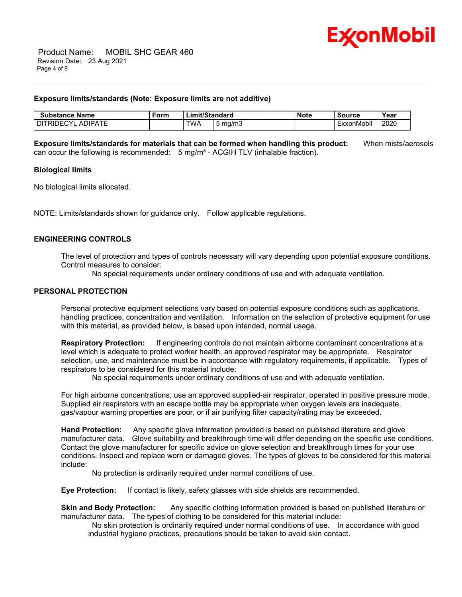

#### **Exposure limits/standards (Note: Exposure limits are not additive)**

| Substance<br>Name                                          | -orm | hit/Standard<br>∟im |               | Note | Source | Year                                         |      |
|------------------------------------------------------------|------|---------------------|---------------|------|--------|----------------------------------------------|------|
| <b>\DIPATE</b><br>≘∿r<br>$\mathbf{A}$<br>池<br>$\mathbf{H}$ |      | TWA                 | mg/m3<br>וו ש |      |        | $\cdots$<br>. .<br>onMobil<br>$  V^{\prime}$ | 2020 |

**Exposure limits/standards for materials that can be formed when handling this product:** When mists/aerosols can occur the following is recommended:  $5 \text{ mg/m}^3$  - ACGIH TLV (inhalable fraction).

\_\_\_\_\_\_\_\_\_\_\_\_\_\_\_\_\_\_\_\_\_\_\_\_\_\_\_\_\_\_\_\_\_\_\_\_\_\_\_\_\_\_\_\_\_\_\_\_\_\_\_\_\_\_\_\_\_\_\_\_\_\_\_\_\_\_\_\_\_\_\_\_\_\_\_\_\_\_\_\_\_\_\_\_\_\_\_\_\_\_\_\_\_\_\_\_\_\_\_\_\_\_\_\_\_\_\_\_\_\_\_\_\_\_\_\_\_\_

# **Biological limits**

No biological limits allocated.

NOTE: Limits/standards shown for guidance only. Follow applicable regulations.

### **ENGINEERING CONTROLS**

The level of protection and types of controls necessary will vary depending upon potential exposure conditions. Control measures to consider:

No special requirements under ordinary conditions of use and with adequate ventilation.

# **PERSONAL PROTECTION**

Personal protective equipment selections vary based on potential exposure conditions such as applications, handling practices, concentration and ventilation. Information on the selection of protective equipment for use with this material, as provided below, is based upon intended, normal usage.

**Respiratory Protection:** If engineering controls do not maintain airborne contaminant concentrations at a level which is adequate to protect worker health, an approved respirator may be appropriate. Respirator selection, use, and maintenance must be in accordance with regulatory requirements, if applicable. Types of respirators to be considered for this material include:

No special requirements under ordinary conditions of use and with adequate ventilation.

For high airborne concentrations, use an approved supplied-air respirator, operated in positive pressure mode. Supplied air respirators with an escape bottle may be appropriate when oxygen levels are inadequate, gas/vapour warning properties are poor, or if air purifying filter capacity/rating may be exceeded.

**Hand Protection:** Any specific glove information provided is based on published literature and glove manufacturer data. Glove suitability and breakthrough time will differ depending on the specific use conditions. Contact the glove manufacturer for specific advice on glove selection and breakthrough times for your use conditions. Inspect and replace worn or damaged gloves. The types of gloves to be considered for this material include:

No protection is ordinarily required under normal conditions of use.

**Eye Protection:** If contact is likely, safety glasses with side shields are recommended.

**Skin and Body Protection:** Any specific clothing information provided is based on published literature or manufacturer data. The types of clothing to be considered for this material include:

No skin protection is ordinarily required under normal conditions of use. In accordance with good industrial hygiene practices, precautions should be taken to avoid skin contact.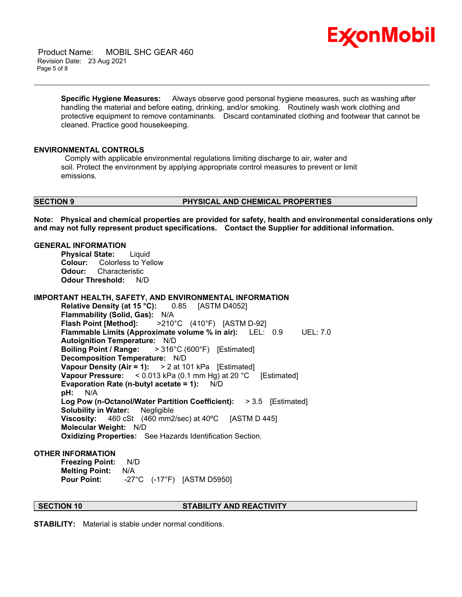

 Product Name: MOBIL SHC GEAR 460 Revision Date: 23 Aug 2021 Page 5 of 8

> **Specific Hygiene Measures:** Always observe good personal hygiene measures, such as washing after handling the material and before eating, drinking, and/or smoking. Routinely wash work clothing and protective equipment to remove contaminants. Discard contaminated clothing and footwear that cannot be cleaned. Practice good housekeeping.

\_\_\_\_\_\_\_\_\_\_\_\_\_\_\_\_\_\_\_\_\_\_\_\_\_\_\_\_\_\_\_\_\_\_\_\_\_\_\_\_\_\_\_\_\_\_\_\_\_\_\_\_\_\_\_\_\_\_\_\_\_\_\_\_\_\_\_\_\_\_\_\_\_\_\_\_\_\_\_\_\_\_\_\_\_\_\_\_\_\_\_\_\_\_\_\_\_\_\_\_\_\_\_\_\_\_\_\_\_\_\_\_\_\_\_\_\_\_

#### **ENVIRONMENTAL CONTROLS**

Comply with applicable environmental regulations limiting discharge to air, water and soil. Protect the environment by applying appropriate control measures to prevent or limit emissions.

#### **SECTION 9 PHYSICAL AND CHEMICAL PROPERTIES**

**Note: Physical and chemical properties are provided for safety, health and environmental considerations only and may not fully represent product specifications. Contact the Supplier for additional information.**

# **GENERAL INFORMATION**

**Physical State:** Liquid **Colour:** Colorless to Yellow **Odour:** Characteristic **Odour Threshold:** N/D

**IMPORTANT HEALTH, SAFETY, AND ENVIRONMENTAL INFORMATION**

**Relative Density (at 15 °C):** 0.85 [ASTM D4052] **Flammability (Solid, Gas):** N/A **Flash Point [Method]:** >210°C (410°F) [ASTM D-92] **Flammable Limits (Approximate volume % in air):** LEL: 0.9 UEL: 7.0 **Autoignition Temperature:** N/D **Boiling Point / Range:** > 316°C (600°F) [Estimated] **Decomposition Temperature:** N/D **Vapour Density (Air = 1):** > 2 at 101 kPa [Estimated] **Vapour Pressure:** < 0.013 kPa (0.1 mm Hg) at 20 °C [Estimated] **Evaporation Rate (n-butyl acetate = 1):** N/D **pH:** N/A **Log Pow (n-Octanol/Water Partition Coefficient):** > 3.5 [Estimated] **Solubility in Water:** Negligible **Viscosity:** 460 cSt (460 mm2/sec) at 40ºC [ASTM D 445] **Molecular Weight:** N/D **Oxidizing Properties:** See Hazards Identification Section.

### **OTHER INFORMATION**

**Freezing Point:** N/D **Melting Point:** N/A **Pour Point:** -27°C (-17°F) [ASTM D5950]

# **SECTION 10 STABILITY AND REACTIVITY**

**STABILITY:** Material is stable under normal conditions.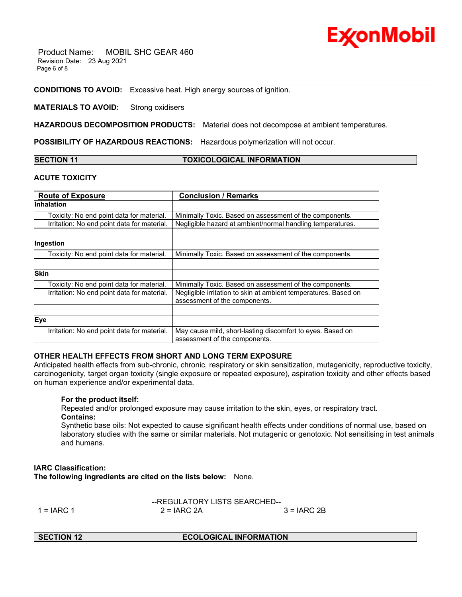

 Product Name: MOBIL SHC GEAR 460 Revision Date: 23 Aug 2021 Page 6 of 8

**CONDITIONS TO AVOID:** Excessive heat. High energy sources of ignition.

### **MATERIALS TO AVOID:** Strong oxidisers

**HAZARDOUS DECOMPOSITION PRODUCTS:** Material does not decompose at ambient temperatures.

**POSSIBILITY OF HAZARDOUS REACTIONS:** Hazardous polymerization will not occur.

| <b>ISECTION 11</b> |  |
|--------------------|--|
|--------------------|--|

**SECTION 11 TOXICOLOGICAL INFORMATION**

\_\_\_\_\_\_\_\_\_\_\_\_\_\_\_\_\_\_\_\_\_\_\_\_\_\_\_\_\_\_\_\_\_\_\_\_\_\_\_\_\_\_\_\_\_\_\_\_\_\_\_\_\_\_\_\_\_\_\_\_\_\_\_\_\_\_\_\_\_\_\_\_\_\_\_\_\_\_\_\_\_\_\_\_\_\_\_\_\_\_\_\_\_\_\_\_\_\_\_\_\_\_\_\_\_\_\_\_\_\_\_\_\_\_\_\_\_\_

### **ACUTE TOXICITY**

| <b>Route of Exposure</b>                    | <b>Conclusion / Remarks</b>                                     |
|---------------------------------------------|-----------------------------------------------------------------|
| <b>Inhalation</b>                           |                                                                 |
| Toxicity: No end point data for material.   | Minimally Toxic. Based on assessment of the components.         |
| Irritation: No end point data for material. | Negligible hazard at ambient/normal handling temperatures.      |
|                                             |                                                                 |
| Ingestion                                   |                                                                 |
| Toxicity: No end point data for material.   | Minimally Toxic. Based on assessment of the components.         |
|                                             |                                                                 |
| <b>Skin</b>                                 |                                                                 |
| Toxicity: No end point data for material.   | Minimally Toxic. Based on assessment of the components.         |
| Irritation: No end point data for material. | Negligible irritation to skin at ambient temperatures. Based on |
|                                             | assessment of the components.                                   |
|                                             |                                                                 |
| Eye                                         |                                                                 |
| Irritation: No end point data for material. | May cause mild, short-lasting discomfort to eyes. Based on      |
|                                             | assessment of the components.                                   |

# **OTHER HEALTH EFFECTS FROM SHORT AND LONG TERM EXPOSURE**

Anticipated health effects from sub-chronic, chronic, respiratory or skin sensitization, mutagenicity, reproductive toxicity, carcinogenicity, target organ toxicity (single exposure or repeated exposure), aspiration toxicity and other effects based on human experience and/or experimental data.

# **For the product itself:**

Repeated and/or prolonged exposure may cause irritation to the skin, eyes, or respiratory tract. **Contains:**

Synthetic base oils: Not expected to cause significant health effects under conditions of normal use, based on laboratory studies with the same or similar materials. Not mutagenic or genotoxic. Not sensitising in test animals and humans.

**IARC Classification: The following ingredients are cited on the lists below:** None.

|               | --REGULATORY LISTS SEARCHED-- |              |  |
|---------------|-------------------------------|--------------|--|
| 1 = $I$ ARC 1 | $2 = IARC 2A$                 | $3 = IARC2B$ |  |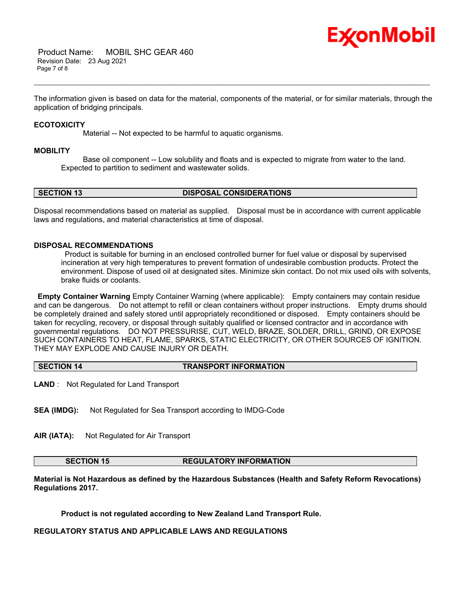

 Product Name: MOBIL SHC GEAR 460 Revision Date: 23 Aug 2021 Page 7 of 8

The information given is based on data for the material, components of the material, or for similar materials, through the application of bridging principals.

\_\_\_\_\_\_\_\_\_\_\_\_\_\_\_\_\_\_\_\_\_\_\_\_\_\_\_\_\_\_\_\_\_\_\_\_\_\_\_\_\_\_\_\_\_\_\_\_\_\_\_\_\_\_\_\_\_\_\_\_\_\_\_\_\_\_\_\_\_\_\_\_\_\_\_\_\_\_\_\_\_\_\_\_\_\_\_\_\_\_\_\_\_\_\_\_\_\_\_\_\_\_\_\_\_\_\_\_\_\_\_\_\_\_\_\_\_\_

### **ECOTOXICITY**

Material -- Not expected to be harmful to aquatic organisms.

#### **MOBILITY**

 Base oil component -- Low solubility and floats and is expected to migrate from water to the land. Expected to partition to sediment and wastewater solids.

**SECTION 13 DISPOSAL CONSIDERATIONS**

Disposal recommendations based on material as supplied. Disposal must be in accordance with current applicable laws and regulations, and material characteristics at time of disposal.

# **DISPOSAL RECOMMENDATIONS**

Product is suitable for burning in an enclosed controlled burner for fuel value or disposal by supervised incineration at very high temperatures to prevent formation of undesirable combustion products. Protect the environment. Dispose of used oil at designated sites. Minimize skin contact. Do not mix used oils with solvents, brake fluids or coolants.

**Empty Container Warning** Empty Container Warning (where applicable): Empty containers may contain residue and can be dangerous. Do not attempt to refill or clean containers without proper instructions. Empty drums should be completely drained and safely stored until appropriately reconditioned or disposed. Empty containers should be taken for recycling, recovery, or disposal through suitably qualified or licensed contractor and in accordance with governmental regulations. DO NOT PRESSURISE, CUT, WELD, BRAZE, SOLDER, DRILL, GRIND, OR EXPOSE SUCH CONTAINERS TO HEAT, FLAME, SPARKS, STATIC ELECTRICITY, OR OTHER SOURCES OF IGNITION. THEY MAY EXPLODE AND CAUSE INJURY OR DEATH.

#### **SECTION 14 TRANSPORT INFORMATION**

**LAND** : Not Regulated for Land Transport

**SEA (IMDG):** Not Regulated for Sea Transport according to IMDG-Code

**AIR (IATA):** Not Regulated for Air Transport

**SECTION 15 REGULATORY INFORMATION**

**Material is Not Hazardous as defined by the Hazardous Substances (Health and Safety Reform Revocations) Regulations 2017.**

**Product is not regulated according to New Zealand Land Transport Rule.**

**REGULATORY STATUS AND APPLICABLE LAWS AND REGULATIONS**